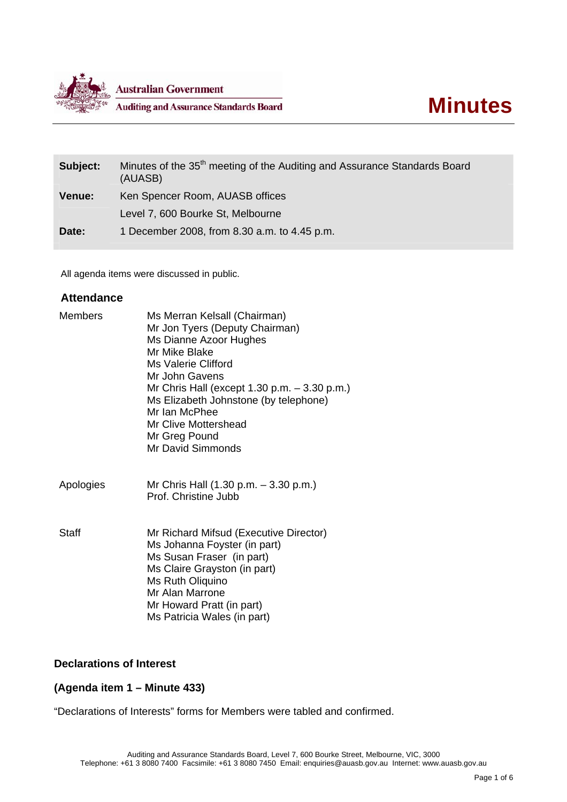

| Subject:      | Minutes of the 35 <sup>th</sup> meeting of the Auditing and Assurance Standards Board<br>(AUASB) |
|---------------|--------------------------------------------------------------------------------------------------|
| <b>Venue:</b> | Ken Spencer Room, AUASB offices                                                                  |
|               | Level 7, 600 Bourke St, Melbourne                                                                |
| Date:         | 1 December 2008, from 8.30 a.m. to 4.45 p.m.                                                     |

All agenda items were discussed in public.

## **Attendance**

| Members   | Ms Merran Kelsall (Chairman)<br>Mr Jon Tyers (Deputy Chairman)<br>Ms Dianne Azoor Hughes<br>Mr Mike Blake<br>Ms Valerie Clifford<br>Mr John Gavens<br>Mr Chris Hall (except 1.30 p.m. $-$ 3.30 p.m.)<br>Ms Elizabeth Johnstone (by telephone)<br>Mr Ian McPhee<br>Mr Clive Mottershead<br>Mr Greg Pound<br>Mr David Simmonds |
|-----------|------------------------------------------------------------------------------------------------------------------------------------------------------------------------------------------------------------------------------------------------------------------------------------------------------------------------------|
| Apologies | Mr Chris Hall (1.30 p.m. - 3.30 p.m.)<br>Prof. Christine Jubb                                                                                                                                                                                                                                                                |
| Staff     | Mr Richard Mifsud (Executive Director)<br>Ms Johanna Foyster (in part)<br>Ms Susan Fraser (in part)<br>Ms Claire Grayston (in part)<br>Ms Ruth Oliquino<br>Mr Alan Marrone<br>Mr Howard Pratt (in part)<br>Ms Patricia Wales (in part)                                                                                       |

# **Declarations of Interest**

# **(Agenda item 1 – Minute 433)**

"Declarations of Interests" forms for Members were tabled and confirmed.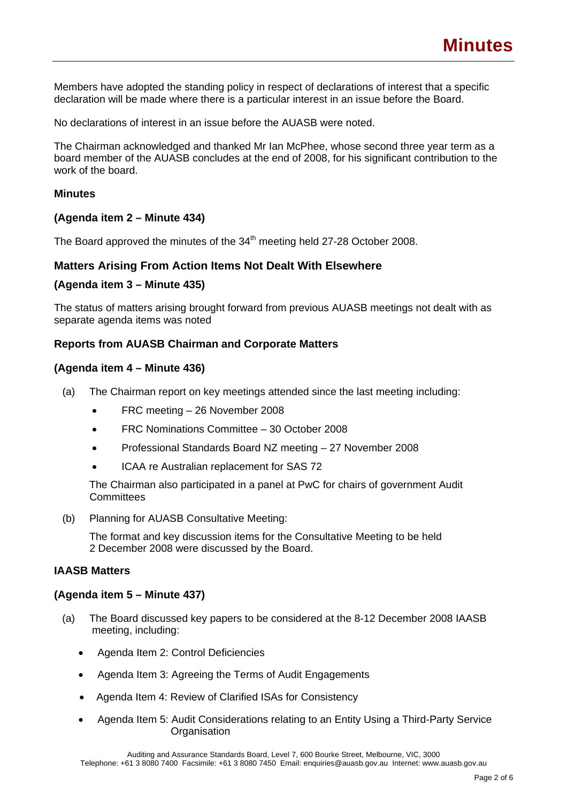Members have adopted the standing policy in respect of declarations of interest that a specific declaration will be made where there is a particular interest in an issue before the Board.

No declarations of interest in an issue before the AUASB were noted.

The Chairman acknowledged and thanked Mr Ian McPhee, whose second three year term as a board member of the AUASB concludes at the end of 2008, for his significant contribution to the work of the board.

## **Minutes**

### **(Agenda item 2 – Minute 434)**

The Board approved the minutes of the 34<sup>th</sup> meeting held 27-28 October 2008.

## **Matters Arising From Action Items Not Dealt With Elsewhere**

### **(Agenda item 3 – Minute 435)**

The status of matters arising brought forward from previous AUASB meetings not dealt with as separate agenda items was noted

### **Reports from AUASB Chairman and Corporate Matters**

### **(Agenda item 4 – Minute 436)**

- (a) The Chairman report on key meetings attended since the last meeting including:
	- FRC meeting 26 November 2008
	- FRC Nominations Committee 30 October 2008
	- Professional Standards Board NZ meeting 27 November 2008
	- ICAA re Australian replacement for SAS 72

The Chairman also participated in a panel at PwC for chairs of government Audit **Committees** 

(b) Planning for AUASB Consultative Meeting:

The format and key discussion items for the Consultative Meeting to be held 2 December 2008 were discussed by the Board.

### **IAASB Matters**

#### **(Agenda item 5 – Minute 437)**

- (a) The Board discussed key papers to be considered at the 8-12 December 2008 IAASB meeting, including:
	- Agenda Item 2: Control Deficiencies
	- Agenda Item 3: Agreeing the Terms of Audit Engagements
	- Agenda Item 4: Review of Clarified ISAs for Consistency
	- Agenda Item 5: Audit Considerations relating to an Entity Using a Third-Party Service **Organisation**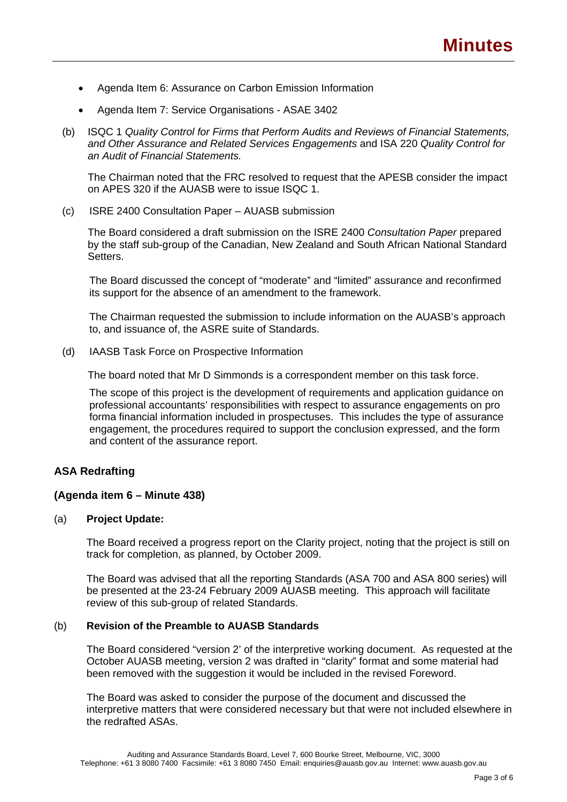- Agenda Item 6: Assurance on Carbon Emission Information
- Agenda Item 7: Service Organisations ASAE 3402
- (b) ISQC 1 *Quality Control for Firms that Perform Audits and Reviews of Financial Statements, and Other Assurance and Related Services Engagements* and ISA 220 *Quality Control for an Audit of Financial Statements.*

The Chairman noted that the FRC resolved to request that the APESB consider the impact on APES 320 if the AUASB were to issue ISQC 1.

(c) ISRE 2400 Consultation Paper – AUASB submission

The Board considered a draft submission on the ISRE 2400 *Consultation Paper* prepared by the staff sub-group of the Canadian, New Zealand and South African National Standard Setters.

The Board discussed the concept of "moderate" and "limited" assurance and reconfirmed its support for the absence of an amendment to the framework.

The Chairman requested the submission to include information on the AUASB's approach to, and issuance of, the ASRE suite of Standards.

(d) IAASB Task Force on Prospective Information

The board noted that Mr D Simmonds is a correspondent member on this task force.

The scope of this project is the development of requirements and application guidance on professional accountants' responsibilities with respect to assurance engagements on pro forma financial information included in prospectuses. This includes the type of assurance engagement, the procedures required to support the conclusion expressed, and the form and content of the assurance report.

# **ASA Redrafting**

## **(Agenda item 6 – Minute 438)**

#### (a) **Project Update:**

The Board received a progress report on the Clarity project, noting that the project is still on track for completion, as planned, by October 2009.

The Board was advised that all the reporting Standards (ASA 700 and ASA 800 series) will be presented at the 23-24 February 2009 AUASB meeting. This approach will facilitate review of this sub-group of related Standards.

# (b) **Revision of the Preamble to AUASB Standards**

The Board considered "version 2' of the interpretive working document. As requested at the October AUASB meeting, version 2 was drafted in "clarity" format and some material had been removed with the suggestion it would be included in the revised Foreword.

The Board was asked to consider the purpose of the document and discussed the interpretive matters that were considered necessary but that were not included elsewhere in the redrafted ASAs.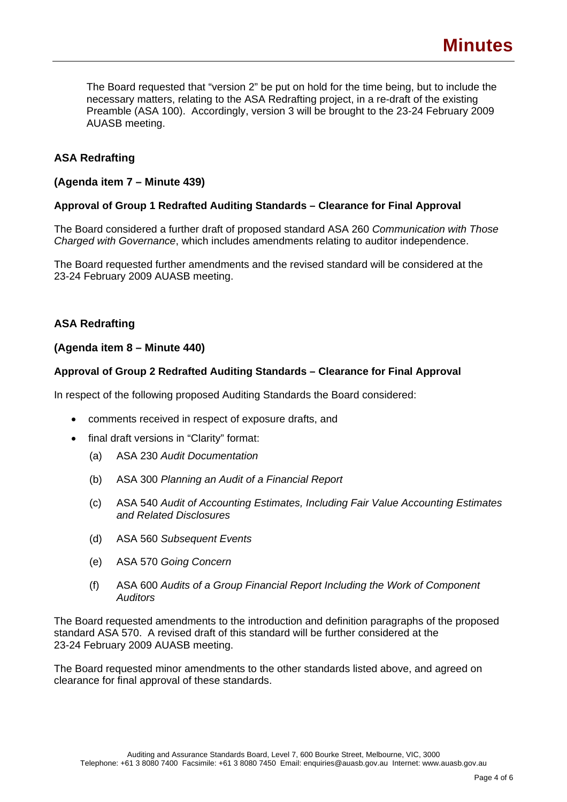The Board requested that "version 2" be put on hold for the time being, but to include the necessary matters, relating to the ASA Redrafting project, in a re-draft of the existing Preamble (ASA 100). Accordingly, version 3 will be brought to the 23-24 February 2009 AUASB meeting.

# **ASA Redrafting**

## **(Agenda item 7 – Minute 439)**

## **Approval of Group 1 Redrafted Auditing Standards – Clearance for Final Approval**

The Board considered a further draft of proposed standard ASA 260 *Communication with Those Charged with Governance*, which includes amendments relating to auditor independence.

The Board requested further amendments and the revised standard will be considered at the 23-24 February 2009 AUASB meeting.

# **ASA Redrafting**

### **(Agenda item 8 – Minute 440)**

### **Approval of Group 2 Redrafted Auditing Standards – Clearance for Final Approval**

In respect of the following proposed Auditing Standards the Board considered:

- comments received in respect of exposure drafts, and
- final draft versions in "Clarity" format:
	- (a) ASA 230 *Audit Documentation*
	- (b) ASA 300 *Planning an Audit of a Financial Report*
	- (c) ASA 540 *Audit of Accounting Estimates, Including Fair Value Accounting Estimates and Related Disclosures*
	- (d) ASA 560 *Subsequent Events*
	- (e) ASA 570 *Going Concern*
	- (f) ASA 600 *Audits of a Group Financial Report Including the Work of Component Auditors*

The Board requested amendments to the introduction and definition paragraphs of the proposed standard ASA 570. A revised draft of this standard will be further considered at the 23-24 February 2009 AUASB meeting.

The Board requested minor amendments to the other standards listed above, and agreed on clearance for final approval of these standards.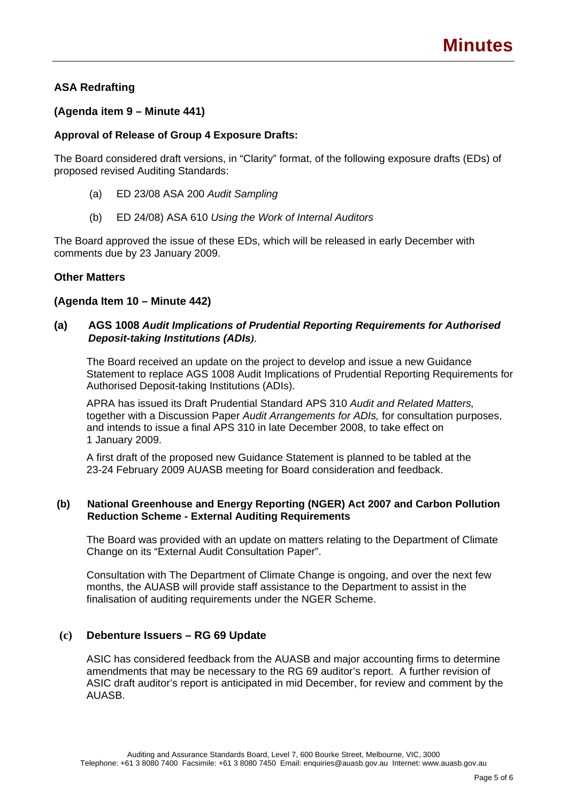# **ASA Redrafting**

# **(Agenda item 9 – Minute 441)**

## **Approval of Release of Group 4 Exposure Drafts:**

The Board considered draft versions, in "Clarity" format, of the following exposure drafts (EDs) of proposed revised Auditing Standards:

- (a) ED 23/08 ASA 200 *Audit Sampling*
- (b) ED 24/08) ASA 610 *Using the Work of Internal Auditors*

The Board approved the issue of these EDs, which will be released in early December with comments due by 23 January 2009.

### **Other Matters**

### **(Agenda Item 10 – Minute 442)**

## **(a) AGS 1008** *Audit Implications of Prudential Reporting Requirements for Authorised Deposit-taking Institutions (ADIs).*

The Board received an update on the project to develop and issue a new Guidance Statement to replace AGS 1008 Audit Implications of Prudential Reporting Requirements for Authorised Deposit-taking Institutions (ADIs).

APRA has issued its Draft Prudential Standard APS 310 *Audit and Related Matters,* together with a Discussion Paper *Audit Arrangements for ADIs,* for consultation purposes, and intends to issue a final APS 310 in late December 2008, to take effect on 1 January 2009.

A first draft of the proposed new Guidance Statement is planned to be tabled at the 23-24 February 2009 AUASB meeting for Board consideration and feedback.

### **(b) National Greenhouse and Energy Reporting (NGER) Act 2007 and Carbon Pollution Reduction Scheme - External Auditing Requirements**

The Board was provided with an update on matters relating to the Department of Climate Change on its "External Audit Consultation Paper".

Consultation with The Department of Climate Change is ongoing, and over the next few months, the AUASB will provide staff assistance to the Department to assist in the finalisation of auditing requirements under the NGER Scheme.

## **(c) Debenture Issuers – RG 69 Update**

ASIC has considered feedback from the AUASB and major accounting firms to determine amendments that may be necessary to the RG 69 auditor's report. A further revision of ASIC draft auditor's report is anticipated in mid December, for review and comment by the AUASB.